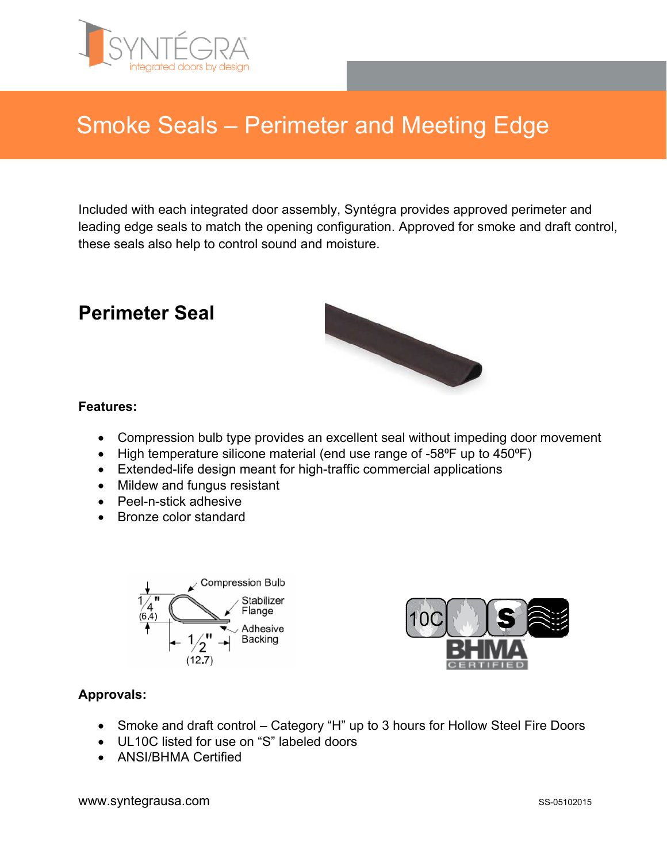

# Smoke Seals – Perimeter and Meeting Edge

Included with each integrated door assembly, Syntégra provides approved perimeter and leading edge seals to match the opening configuration. Approved for smoke and draft control, these seals also help to control sound and moisture.

### **Perimeter Seal**



### **Features:**

- Compression bulb type provides an excellent seal without impeding door movement
- High temperature silicone material (end use range of -58°F up to 450°F)
- Extended-life design meant for high-traffic commercial applications
- Mildew and fungus resistant
- Peel-n-stick adhesive
- Bronze color standard





### **Approvals:**

- Smoke and draft control Category "H" up to 3 hours for Hollow Steel Fire Doors
- UL10C listed for use on "S" labeled doors
- ANSI/BHMA Certified